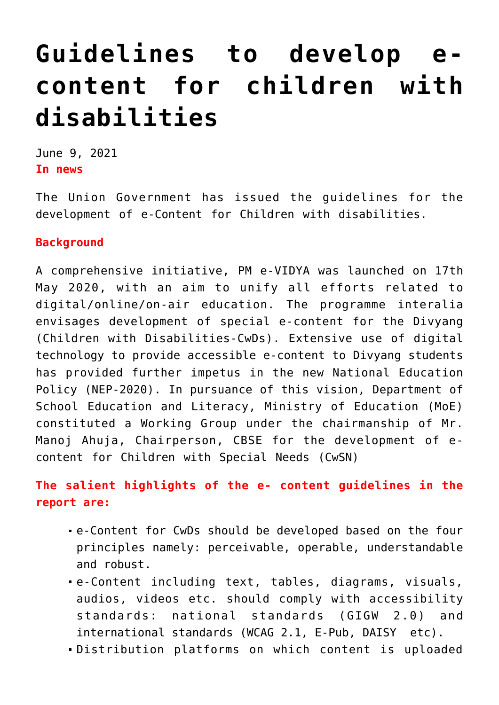## **[Guidelines to develop e](https://journalsofindia.com/guidelines-to-develop-e-content-for-children-with-disabilities/)[content for children with](https://journalsofindia.com/guidelines-to-develop-e-content-for-children-with-disabilities/) [disabilities](https://journalsofindia.com/guidelines-to-develop-e-content-for-children-with-disabilities/)**

June 9, 2021 **In news**

The Union Government has issued the guidelines for the development of e-Content for Children with disabilities.

## **Background**

A comprehensive initiative, PM e-VIDYA was launched on 17th May 2020, with an aim to unify all efforts related to digital/online/on-air education. The programme interalia envisages development of special e-content for the Divyang (Children with Disabilities-CwDs). Extensive use of digital technology to provide accessible e-content to Divyang students has provided further impetus in the new National Education Policy (NEP-2020). In pursuance of this vision, Department of School Education and Literacy, Ministry of Education (MoE) constituted a Working Group under the chairmanship of Mr. Manoj Ahuja, Chairperson, CBSE for the development of econtent for Children with Special Needs (CwSN)

## **The salient highlights of the e- content guidelines in the report are:**

- e-Content for CwDs should be developed based on the four principles namely: perceivable, operable, understandable and robust.
- e-Content including text, tables, diagrams, visuals, audios, videos etc. should comply with accessibility standards: national standards (GIGW 2.0) and international standards (WCAG 2.1, E-Pub, DAISY etc).
- Distribution platforms on which content is uploaded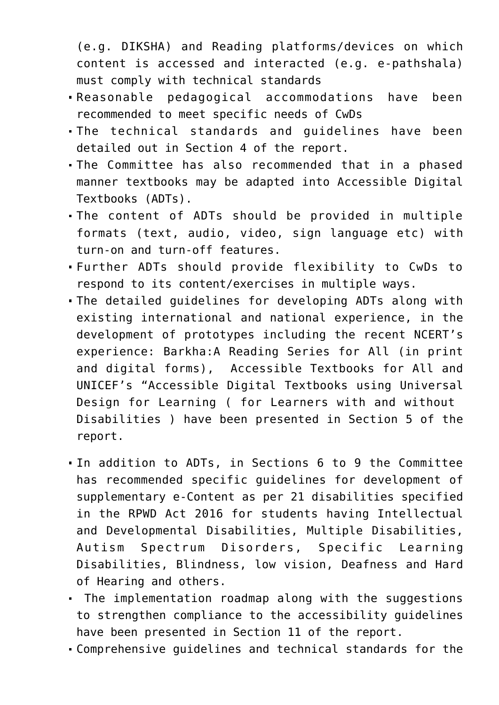(e.g. DIKSHA) and Reading platforms/devices on which content is accessed and interacted (e.g. e-pathshala) must comply with technical standards

- Reasonable pedagogical accommodations have been recommended to meet specific needs of CwDs
- The technical standards and guidelines have been detailed out in Section 4 of the report.
- The Committee has also recommended that in a phased manner textbooks may be adapted into Accessible Digital Textbooks (ADTs).
- The content of ADTs should be provided in multiple formats (text, audio, video, sign language etc) with turn-on and turn-off features.
- Further ADTs should provide flexibility to CwDs to respond to its content/exercises in multiple ways.
- The detailed guidelines for developing ADTs along with existing international and national experience, in the development of prototypes including the recent NCERT's experience: Barkha:A Reading Series for All (in print and digital forms), Accessible Textbooks for All and UNICEF's "Accessible Digital Textbooks using Universal Design for Learning ( for Learners with and without Disabilities ) have been presented in Section 5 of the report.
- In addition to ADTs, in Sections 6 to 9 the Committee has recommended specific guidelines for development of supplementary e-Content as per 21 disabilities specified in the RPWD Act 2016 for students having Intellectual and Developmental Disabilities, Multiple Disabilities, Autism Spectrum Disorders, Specific Learning Disabilities, Blindness, low vision, Deafness and Hard of Hearing and others.
- The implementation roadmap along with the suggestions to strengthen compliance to the accessibility guidelines have been presented in Section 11 of the report.
- Comprehensive guidelines and technical standards for the